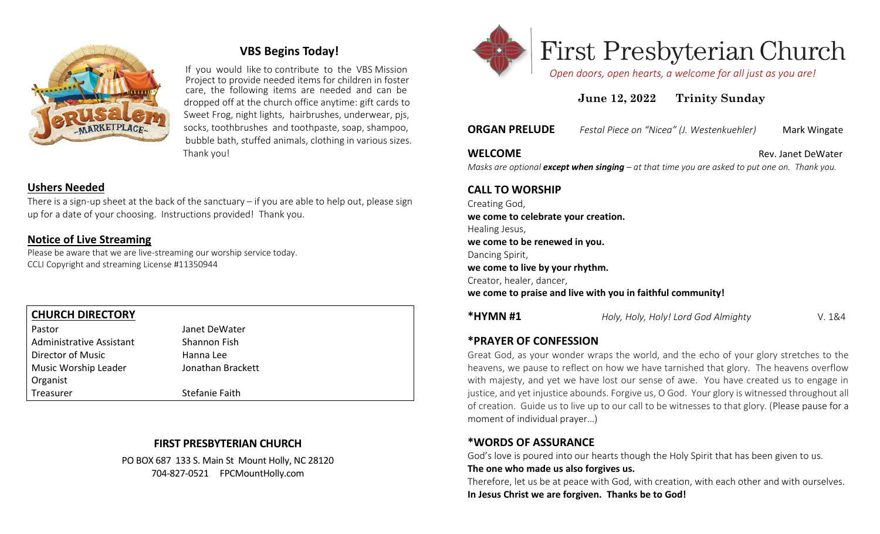

# **VBS Begins Today!**

 If you would like to contribute to the VBS Mission Project to provide needed items for children in foster care, the following items are needed and can be dropped off at the church office anytime: gift cards to Sweet Frog, night lights, hairbrushes, underwear, pjs, socks, toothbrushes and toothpaste, soap, shampoo, bubble bath, stuffed animals, clothing in various sizes. Thank you!

# **Ushers Needed**

There is a sign-up sheet at the back of the sanctuary – if you are able to help out, please sign up for a date of your choosing. Instructions provided! Thank you.

#### **Notice of Live Streaming**

Please be aware that we are live-streaming our worship service today. CCLI Copyright and streaming License #11350944

#### **CHURCH DIRECTORY** Pastor **DeWater** Janet DeWater Administrative Assistant Shannon Fish Director of Music **Hanna** Lee Music Worship Leader Jonathan Brackett Organist Treasurer Stefanie Faith

## **FIRST PRESBYTERIAN CHURCH**

PO BOX 687 133 S. Main St Mount Holly, NC 28120 704-827-0521 FPCMountHolly.com



# **First Presbyterian Church**

 *Open doors, open hearts, a welcome for all just as you are!*

# **June 12, 2022 Trinity Sunday**

**ORGAN PRELUDE** *Festal Piece on "Nicea" (J. Westenkuehler)* Mark Wingate

#### **WELCOME Rev. Janet DeWater**

*Masks are optional except when singing – at that time you are asked to put one on. Thank you.*

#### **CALL TO WORSHIP**

Creating God, **we come to celebrate your creation.** Healing Jesus, **we come to be renewed in you.** Dancing Spirit, **we come to live by your rhythm.** Creator, healer, dancer, **we come to praise and live with you in faithful community!**

**\*HYMN #1** *Holy, Holy, Holy! Lord God Almighty* V. 1&4

# **\*PRAYER OF CONFESSION**

Great God, as your wonder wraps the world, and the echo of your glory stretches to the heavens, we pause to reflect on how we have tarnished that glory. The heavens overflow with majesty, and yet we have lost our sense of awe. You have created us to engage in justice, and yet injustice abounds. Forgive us, O God. Your glory is witnessed throughout all of creation. Guide us to live up to our call to be witnesses to that glory. (Please pause for a moment of individual prayer…)

#### **\*WORDS OF ASSURANCE**

God's love is poured into our hearts though the Holy Spirit that has been given to us.

#### **The one who made us also forgives us.**

Therefore, let us be at peace with God, with creation, with each other and with ourselves. **In Jesus Christ we are forgiven. Thanks be to God!**